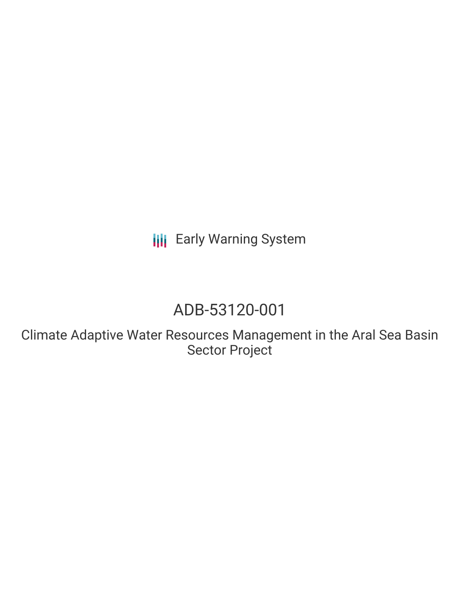**III** Early Warning System

# ADB-53120-001

Climate Adaptive Water Resources Management in the Aral Sea Basin Sector Project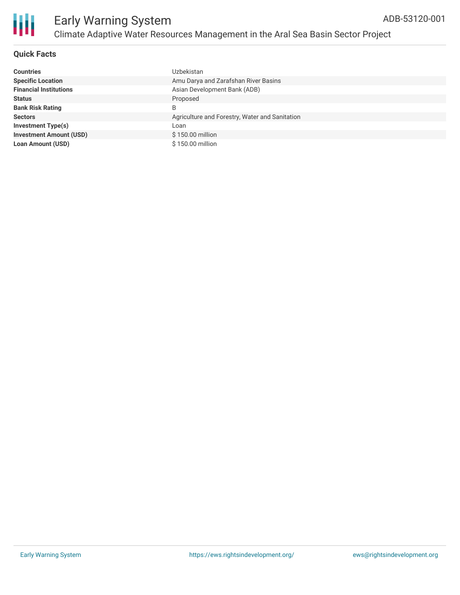

### **Quick Facts**

| <b>Countries</b>               | Uzbekistan                                     |
|--------------------------------|------------------------------------------------|
| <b>Specific Location</b>       | Amu Darya and Zarafshan River Basins           |
| <b>Financial Institutions</b>  | Asian Development Bank (ADB)                   |
| <b>Status</b>                  | Proposed                                       |
| <b>Bank Risk Rating</b>        | B                                              |
| <b>Sectors</b>                 | Agriculture and Forestry, Water and Sanitation |
| Investment Type(s)             | Loan                                           |
| <b>Investment Amount (USD)</b> | \$150.00 million                               |
| <b>Loan Amount (USD)</b>       | \$150.00 million                               |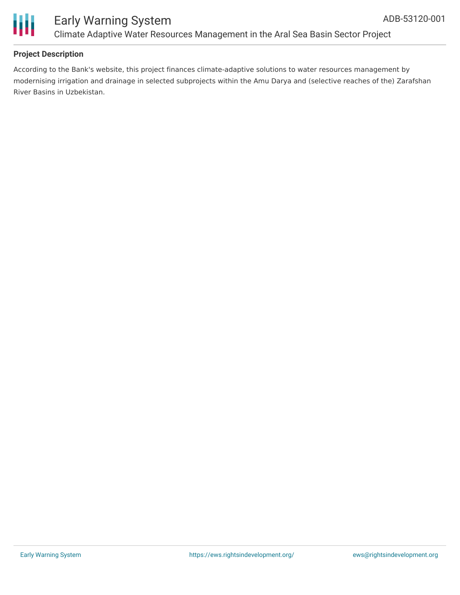

#### **Project Description**

According to the Bank's website, this project finances climate-adaptive solutions to water resources management by modernising irrigation and drainage in selected subprojects within the Amu Darya and (selective reaches of the) Zarafshan River Basins in Uzbekistan.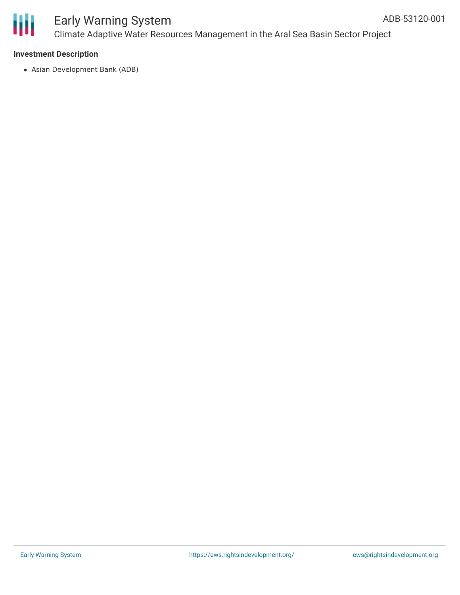

### Early Warning System Climate Adaptive Water Resources Management in the Aral Sea Basin Sector Project

#### **Investment Description**

Asian Development Bank (ADB)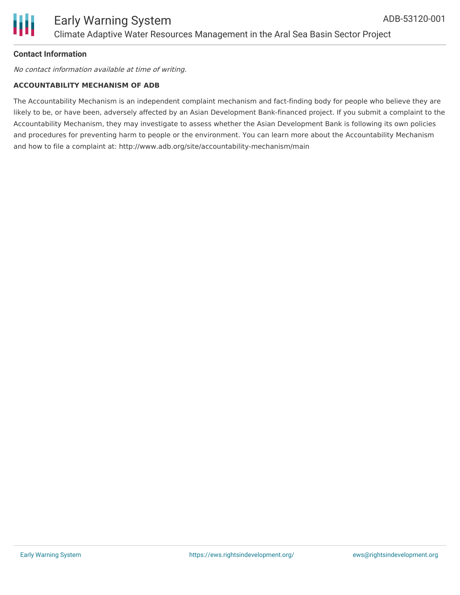#### **Contact Information**

No contact information available at time of writing.

#### **ACCOUNTABILITY MECHANISM OF ADB**

The Accountability Mechanism is an independent complaint mechanism and fact-finding body for people who believe they are likely to be, or have been, adversely affected by an Asian Development Bank-financed project. If you submit a complaint to the Accountability Mechanism, they may investigate to assess whether the Asian Development Bank is following its own policies and procedures for preventing harm to people or the environment. You can learn more about the Accountability Mechanism and how to file a complaint at: http://www.adb.org/site/accountability-mechanism/main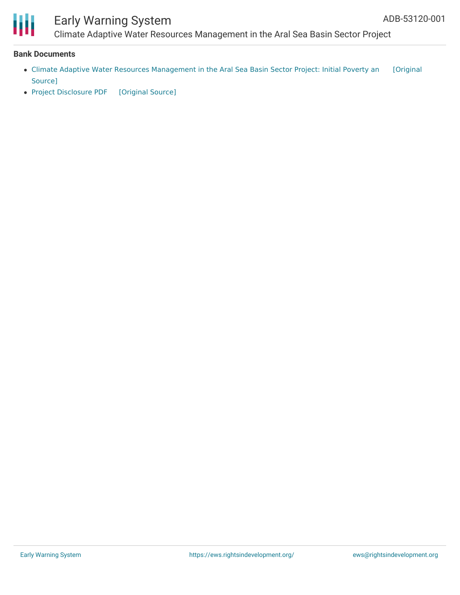

## Early Warning System

Climate Adaptive Water Resources Management in the Aral Sea Basin Sector Project

#### **Bank Documents**

- Climate Adaptive Water Resources [Management](https://ewsdata.rightsindevelopment.org/files/documents/01/ADB-53120-001_lTDR6sU.pdf) in the Aral Sea Basin Sector Project: Initial Poverty an [Original Source]
- Project [Disclosure](https://ewsdata.rightsindevelopment.org/files/documents/01/ADB-53120-001.pdf) PDF [\[Original](https://www.adb.org/printpdf/projects/53120-001/main) Source]